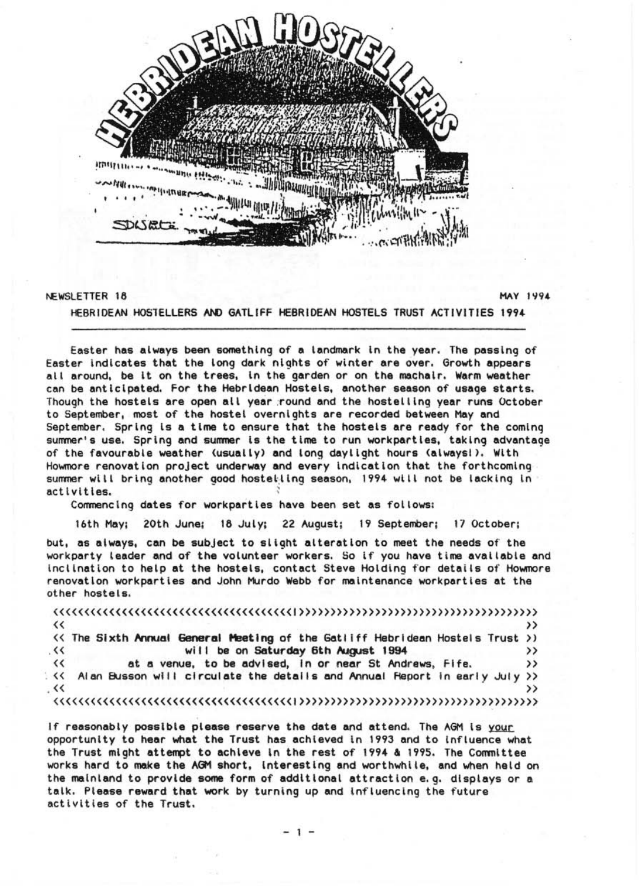

## NEWSLETTER 18 MAY 1994

HEBRIOEAN HOS1ELLERS AND GATLIFF HEBRIOEAN HOSTELS TRUST ACTIVITIES 1994

Easter has always been something of a landmark In the year. The passing of Easter Indicates that the long dark nights of winter are over. Growth appears all around. be It on the trees. In the garden or on the machalr. Warm weather can be antiCipated. For the Hebrldean Hostels. another season of usage starts. Though the hostels are open all year round and the hostelling year runs October to September. most of the hostel overnights are recorded between May and September. Spring Is a time to ensure that the hostels are ready for the coming summer' s use. Spring and summer Is the time to run workpartles. taking advantage of the favourable weather (usually) and long daylight hours (alwaysl). With<br>Howmore renovation project underway and every indication that the forthcoming summer will bring another good hostelling season, 1994 will not be lacking in activities.

Commencing dates for workpartles have been set as follows:

16th May; 20th June; 16 July; 22 August; 19 September; 17 October;

but. as always. can be subject to slight alteration to meet the needs of the workparty leader and of the volunteer workers. So if you have time available and Inclination to help at the hostels. contact Steve Holding for details of Howmore renovation workpartles and John Murdo Webb for maintenance workpartles at the other hostels.

| $\leftrightarrow$                                                             |  |
|-------------------------------------------------------------------------------|--|
| (< The Sixth Annual General Meeting of the Gatiiff Hebridean Hostels Trust >) |  |
| will be on Saturday 6th August 1994<br>$\sim$                                 |  |
| at a venue, to be advised, in or near St Andrews, Fife.<br>$\leftrightarrow$  |  |
| << Alan Busson will circulate the details and Annual Report in early July >>  |  |
| $\prec$                                                                       |  |
|                                                                               |  |
|                                                                               |  |

If reasonably possible please reserve the date and attend. The AGM is your opportunity to hear what the Trust has achieved In 1993 and to Influence what the Trust might attempt to achieve In the rest of 1994 & 1995. The Committee works hard to make the AGM short. Interesting and worthwhl Ie. and when held on the mainland to provide some form of additional attraction e.g. displays or a talk. Please reward that work by turning up and Influencing the future activities of the Trust.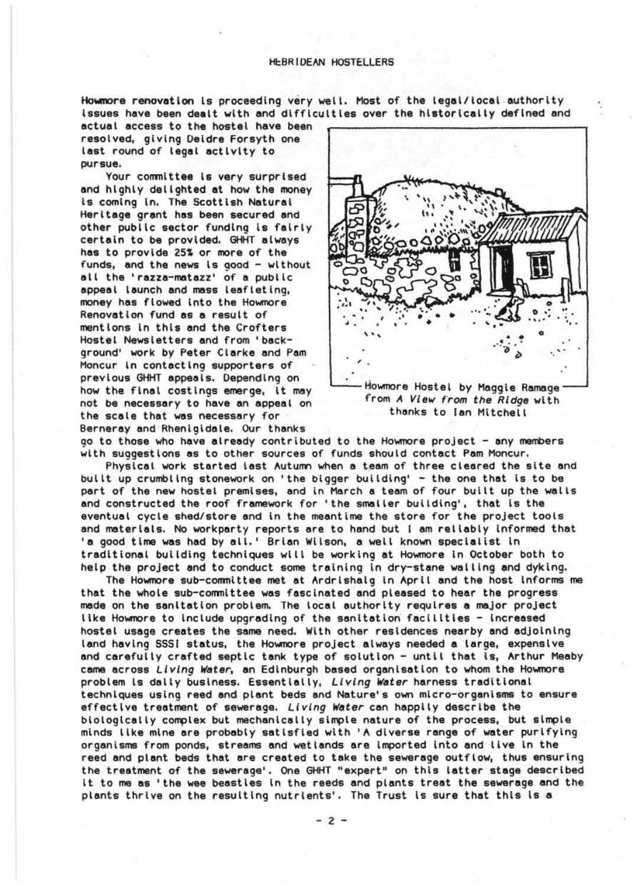Howmore renovation is proceeding very well. Most of the legal/local authority Issues have been dealt with and dlfflcultles over the historically defined and

actual access to the hostel have been resolved, giving Deldre Forsyth one last round of legal activity to pursue.

Your committee Is very surprised and hIghly delighted at how the money Is coming In. The Scottish Natural Heritage grant has been secured and other public sector funding is fairly certain to be provided. GHHT always has to provide 25% or more of the funds, and the news is good - without all the 'razza-matazz' of a public appeal launch and mass leafleting, money has flowed into the Howmore Renovation fund as a result of mentions In this and the Crofters Hostel Newsletters and from 'background' work by Peter Clarke and Pam Moncur In contacting supporters of previous GHHT appeals. Depending on how the fInal costlngs emerge, It may not be necessary to have an appeal on the scale that was necessary for Bernerav and Rhenlgidale. Our thanks



Howmore Hostel by Maggie Ramage trom A View from the Ridqe with thanks to Ian Mitchell

go to those who have already contributed to the Howmore project - any members with suggestions as to other sources of funds should contact Pam Moncur.

PhysIcal work started last Autumn when a team of three cleared the site and built up crumbling stonework on 'the bigger building' - the one that is to be part of the new hostel premises, and in March a team of four built up the walls and constructed the roof framework for 'the smaller building', that is the eventual cycle shed/store and in the meantime the store for the project tools and materials. No workparty reports are to hand but I am reliably informed that 'a good time was had by all.' Brian Wilson, a well known specialist In traditional building techniques will be working at Howmore In October both to help the project and to conduct some training In dry-stane walling and dyklng.

The Howmore sub-committee met at Ardrlshalg In April and the host Informs me that the whole sub-committee was fascinated and pleased to hear the progress made on the sanitation problem. The local authority requires a major project like Howmore to include upgrading of the sanitation facilities - increased hostel usage creates the same need. With other residences nearby and adjoining land having SSSI status, the Howmore project always needed a large, expensive and carefully crafted septic tank type of solution - until that is, Arthur Meaby came across *Living Water*, an Edinburgh based organisation to whom the Howmore problem Is dally business. Essentially, *Living* Water harness traditional techniques usIng reed and plant beds and Nature's own micro-organisms to ensure effective treatment of sewerage. *Living Water* can happily describe the biologIcally complex but mechanically simple nature of the process, but simple minds like mine are probably satlsfled wIth 'A diverse range of wafer purifying organisms from ponds, streams and wetlands are imported into and live in the reed and plant beds that are created to take the sewerage outflow, thus ensuring the treatment of the sewerage'. One GHHT "expert" on this latter stage described it to me as 'the wee beasties in the reeds and plants treat the sewerage and the plants thrive on the resulting nutrients'. The Trust is sure that this is a

 $-2 -$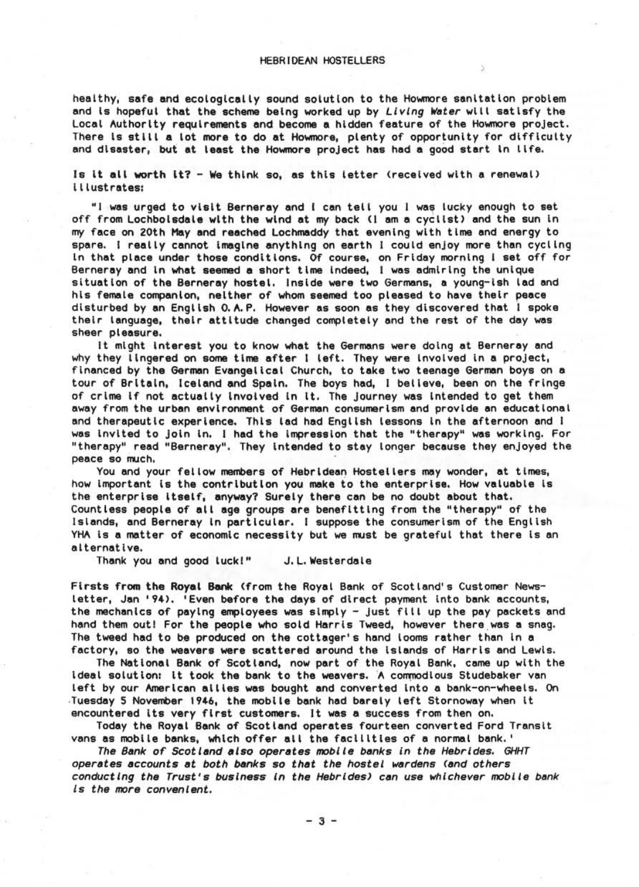## HEBRIDEAN HOSTELLERS

healthy, safe and ecologically sound solution to the Howmore sanitation problem and Is hopeful that the scheme being worked up by *Li ving Water* wIl l satIsfy the Local Authority requirements and become a hidden feature of the Howmore project. There Is stILI a lot more to do at Howmore, plenty of opportunity for dIfficulty and disaster, but at least the Howmore project has had a good start in life.

Is it all worth It? - We think so, as this letter (received with a renewal) I llustrates:

"I was urged to visit Berneray and I can tell you I was lucky enough to set off from Lochbolsdale with the wind at my back (I am a cyclist) and the sun In my face, on 20th May and reached Lochmaddy that evening with time and energy to spare. I really cannot Imagine anything on earth I could enjoy more than cycling In that place under those conditions. Of course, on Friday morning I set off for Berneray and In what seemed a short time Indeed, t was admIr Ing the unique situation of the Berneray hostel. Inside were two Germans, a young-ish lad and his female companion, neither of whom seemed too pleased to have their peace disturbed by an English O.A.P. However as soon as they discovered that I spoke their language, their attitude changed completely and the rest of the day was<br>sheer pieasure.

It might interest you to know what the Germans were doing at Berneray and why they lingered on some time after I left. They were Involved In a project, financed by the German Evangelical Church, to take two teenage German boys on a tour of Britain, Iceland and Spain. The boys had, I believe, been on the fringe of crime If not actually Involved In It . The journey was Intended to get them away from the urban environment of German consumerism and provide an educational<br>and therapeutic experience. This lad had Enqlish lessons in the afternoon and I was invited to join in. I had the impression that the "therapy" was working. For "therapy" read "Berneray". They Intended to stay longer because they enjoyed the

You and your fellow members of Hebridean Hostellers may wonder, at times, how Important Is the contribution you make to the enterprise. How valuable Is the enterprise Itself, anyway? Surely there can be no doubt about that. Countless people of a ll age groups are benefitting from the "therapy" of the Islands, and Berneray In particular. I suppose the consumer ism of the English YHA is a matter of economic necessity but we must be grateful that there is an alternative.

Thank you and good luckl" J. L. Westerdale

Firsts from the Royal Bank (from the Royal Bank of Scotland's Customer Newsletter, Jan '94). 'Even before the days of direct payment Into bank accounts, the mechanics of paying employees was simply - just fill up the pay packets and hand them out! For the people who sold Harris Tweed, however there was a snag. The tweed had to be produced on the cottager's hand looms rather than In a factory, so the weavers were scattered around the Islands of Harris and Lewis.

The National Bank of Scotland, now part of the Royal Bank, came up with the ideal solution: it took the bank to the weavers. A commodious Studebaker van left by our American allies was bought and converted into a bank-on-wheels. On .Tuesday 5 November 1946, the mobile bank had barely left Stornoway when It

Today the Royal Bank of Scotland operates fourteen converted Ford Transit vans as mobile banks, which offer all the facILities of a normal bank. '

*The Bank or Scotland also operates mobile banks* in *the Hebrides. GHHT operates accounts* at *both banks* so *that the hostel wardens (and others conducting the Trust's business In the Hebrides) can use whichever mobil e bank is the more convenient.* 

 $- 3 -$